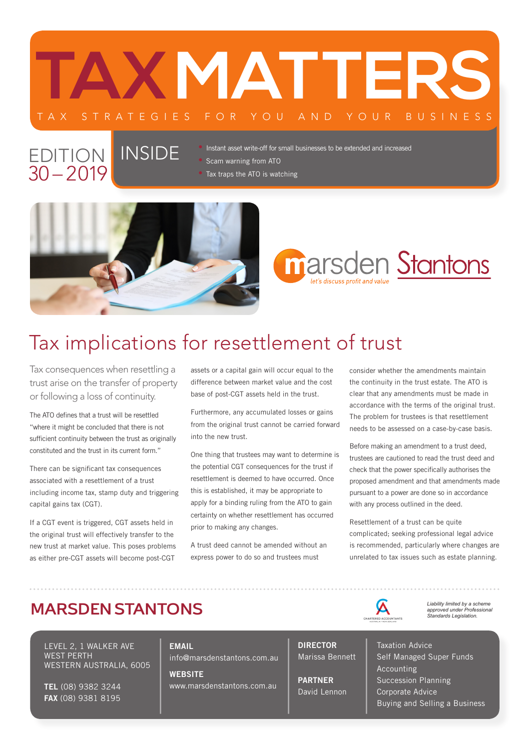

#### EDITION | INSIDE  $30 - 2019$

• Instant asset write-off for small businesses to be extended and increased

• Scam warning from ATO

• Tax traps the ATO is watching



# **marsden Stantons**

## Tax implications for resettlement of trust

Tax consequences when resettling a trust arise on the transfer of property or following a loss of continuity.

The ATO defines that a trust will be resettled "where it might be concluded that there is not sufficient continuity between the trust as originally constituted and the trust in its current form."

There can be significant tax consequences associated with a resettlement of a trust including income tax, stamp duty and triggering capital gains tax (CGT).

If a CGT event is triggered, CGT assets held in the original trust will effectively transfer to the new trust at market value. This poses problems as either pre-CGT assets will become post-CGT assets or a capital gain will occur equal to the difference between market value and the cost base of post-CGT assets held in the trust.

Furthermore, any accumulated losses or gains from the original trust cannot be carried forward into the new trust.

One thing that trustees may want to determine is the potential CGT consequences for the trust if resettlement is deemed to have occurred. Once this is established, it may be appropriate to apply for a binding ruling from the ATO to gain certainty on whether resettlement has occurred prior to making any changes.

A trust deed cannot be amended without an express power to do so and trustees must

consider whether the amendments maintain the continuity in the trust estate. The ATO is clear that any amendments must be made in accordance with the terms of the original trust. The problem for trustees is that resettlement needs to be assessed on a case-by-case basis.

Before making an amendment to a trust deed, trustees are cautioned to read the trust deed and check that the power specifically authorises the proposed amendment and that amendments made pursuant to a power are done so in accordance with any process outlined in the deed.

Resettlement of a trust can be quite complicated; seeking professional legal advice is recommended, particularly where changes are unrelated to tax issues such as estate planning.

 $\Delta$ 

#### **MARSDEN STANTONS**

LEVEL 2, 1 WALKER AVE WEST PERTH WESTERN AUSTRALIA, 6005

TEL (08) 9382 3244 FAX (08) 9381 8195

**FMAIL** info@marsdenstantons.com.au

**WERSITE** www.marsdenstantons.com.au DIRECTOR Marissa Bennett

PARTNER David Lennon *Liability limited by a scheme approved under Professional Standards Legislation.*

Taxation Advice Self Managed Super Funds Accounting Succession Planning Corporate Advice Buying and Selling a Business